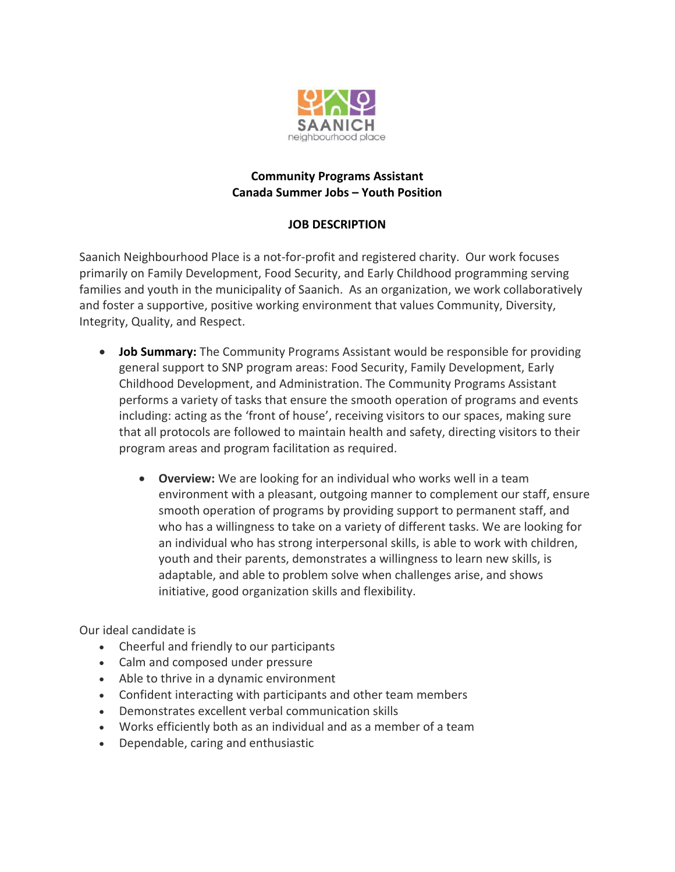

## **Community Programs Assistant Canada Summer Jobs – Youth Position**

# **JOB DESCRIPTION**

Saanich Neighbourhood Place is a not-for-profit and registered charity. Our work focuses primarily on Family Development, Food Security, and Early Childhood programming serving families and youth in the municipality of Saanich. As an organization, we work collaboratively and foster a supportive, positive working environment that values Community, Diversity, Integrity, Quality, and Respect.

- **Job Summary:** The Community Programs Assistant would be responsible for providing general support to SNP program areas: Food Security, Family Development, Early Childhood Development, and Administration. The Community Programs Assistant performs a variety of tasks that ensure the smooth operation of programs and events including: acting as the 'front of house', receiving visitors to our spaces, making sure that all protocols are followed to maintain health and safety, directing visitors to their program areas and program facilitation as required.
	- **Overview:** We are looking for an individual who works well in a team environment with a pleasant, outgoing manner to complement our staff, ensure smooth operation of programs by providing support to permanent staff, and who has a willingness to take on a variety of different tasks. We are looking for an individual who has strong interpersonal skills, is able to work with children, youth and their parents, demonstrates a willingness to learn new skills, is adaptable, and able to problem solve when challenges arise, and shows initiative, good organization skills and flexibility.

Our ideal candidate is

- Cheerful and friendly to our participants
- Calm and composed under pressure
- Able to thrive in a dynamic environment
- Confident interacting with participants and other team members
- Demonstrates excellent verbal communication skills
- Works efficiently both as an individual and as a member of a team
- Dependable, caring and enthusiastic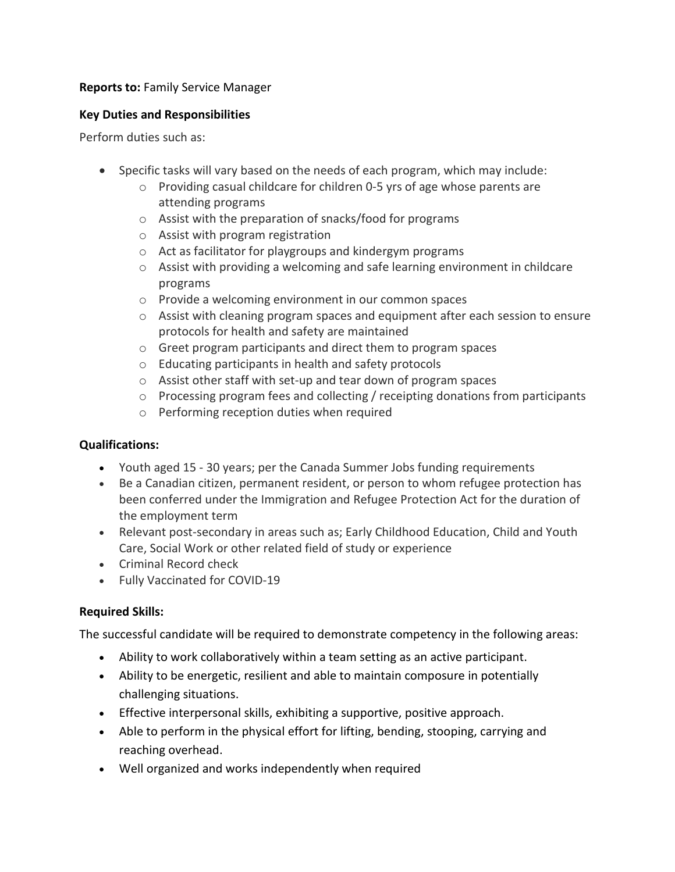# **Reports to:** Family Service Manager

## **Key Duties and Responsibilities**

Perform duties such as:

- Specific tasks will vary based on the needs of each program, which may include:
	- o Providing casual childcare for children 0-5 yrs of age whose parents are attending programs
	- o Assist with the preparation of snacks/food for programs
	- o Assist with program registration
	- o Act as facilitator for playgroups and kindergym programs
	- $\circ$  Assist with providing a welcoming and safe learning environment in childcare programs
	- o Provide a welcoming environment in our common spaces
	- $\circ$  Assist with cleaning program spaces and equipment after each session to ensure protocols for health and safety are maintained
	- o Greet program participants and direct them to program spaces
	- o Educating participants in health and safety protocols
	- o Assist other staff with set-up and tear down of program spaces
	- $\circ$  Processing program fees and collecting / receipting donations from participants
	- o Performing reception duties when required

## **Qualifications:**

- Youth aged 15 30 years; per the Canada Summer Jobs funding requirements
- Be a Canadian citizen, permanent resident, or person to whom refugee protection has been conferred under the Immigration and Refugee Protection Act for the duration of the employment term
- Relevant post-secondary in areas such as; Early Childhood Education, Child and Youth Care, Social Work or other related field of study or experience
- Criminal Record check
- Fully Vaccinated for COVID-19

# **Required Skills:**

The successful candidate will be required to demonstrate competency in the following areas:

- Ability to work collaboratively within a team setting as an active participant.
- Ability to be energetic, resilient and able to maintain composure in potentially challenging situations.
- Effective interpersonal skills, exhibiting a supportive, positive approach.
- Able to perform in the physical effort for lifting, bending, stooping, carrying and reaching overhead.
- Well organized and works independently when required